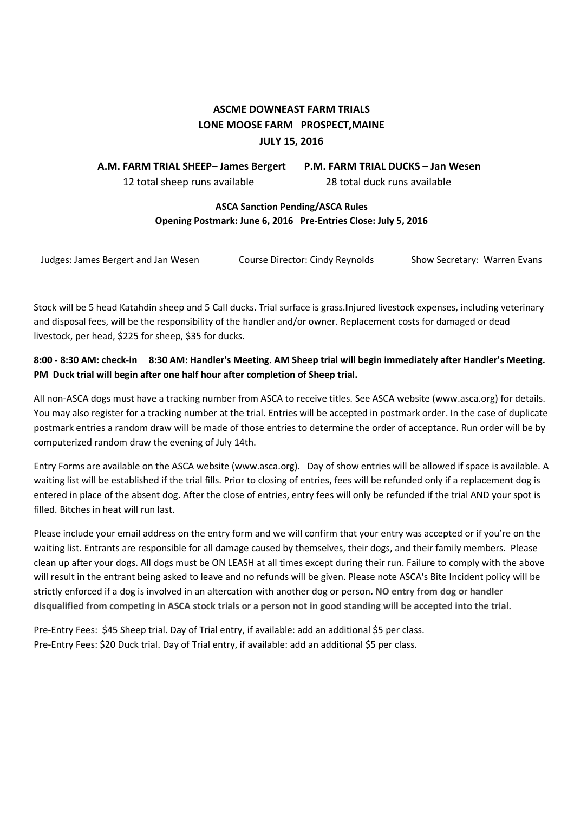# **ASCME DOWNEAST FARM TRIALS LONE MOOSE FARM PROSPECT,MAINE JULY 15, 2016**

 **A.M. FARM TRIAL SHEEP– James Bergert P.M. FARM TRIAL DUCKS – Jan Wesen** 12 total sheep runs available 28 total duck runs available

## **ASCA Sanction Pending/ASCA Rules Opening Postmark: June 6, 2016 Pre-Entries Close: July 5, 2016**

| Judges: James Bergert and Jan Wesen | Course Director: Cindy Reynolds | Show Secretary: Warren Evans |
|-------------------------------------|---------------------------------|------------------------------|
|                                     |                                 |                              |

Stock will be 5 head Katahdin sheep and 5 Call ducks. Trial surface is grass.**I**njured livestock expenses, including veterinary and disposal fees, will be the responsibility of the handler and/or owner. Replacement costs for damaged or dead livestock, per head, \$225 for sheep, \$35 for ducks.

# **8:00 - 8:30 AM: check-in 8:30 AM: Handler's Meeting. AM Sheep trial will begin immediately after Handler's Meeting. PM Duck trial will begin after one half hour after completion of Sheep trial.**

All non-ASCA dogs must have a tracking number from ASCA to receive titles. See ASCA website (www.asca.org) for details. You may also register for a tracking number at the trial. Entries will be accepted in postmark order. In the case of duplicate postmark entries a random draw will be made of those entries to determine the order of acceptance. Run order will be by computerized random draw the evening of July 14th.

Entry Forms are available on the ASCA website (www.asca.org). Day of show entries will be allowed if space is available. A waiting list will be established if the trial fills. Prior to closing of entries, fees will be refunded only if a replacement dog is entered in place of the absent dog. After the close of entries, entry fees will only be refunded if the trial AND your spot is filled. Bitches in heat will run last.

Please include your email address on the entry form and we will confirm that your entry was accepted or if you're on the waiting list. Entrants are responsible for all damage caused by themselves, their dogs, and their family members. Please clean up after your dogs. All dogs must be ON LEASH at all times except during their run. Failure to comply with the above will result in the entrant being asked to leave and no refunds will be given. Please note ASCA's Bite Incident policy will be strictly enforced if a dog is involved in an altercation with another dog or person**. NO entry from dog or handler disqualified from competing in ASCA stock trials or a person not in good standing will be accepted into the trial.**

Pre-Entry Fees: \$45 Sheep trial. Day of Trial entry, if available: add an additional \$5 per class. Pre-Entry Fees: \$20 Duck trial. Day of Trial entry, if available: add an additional \$5 per class.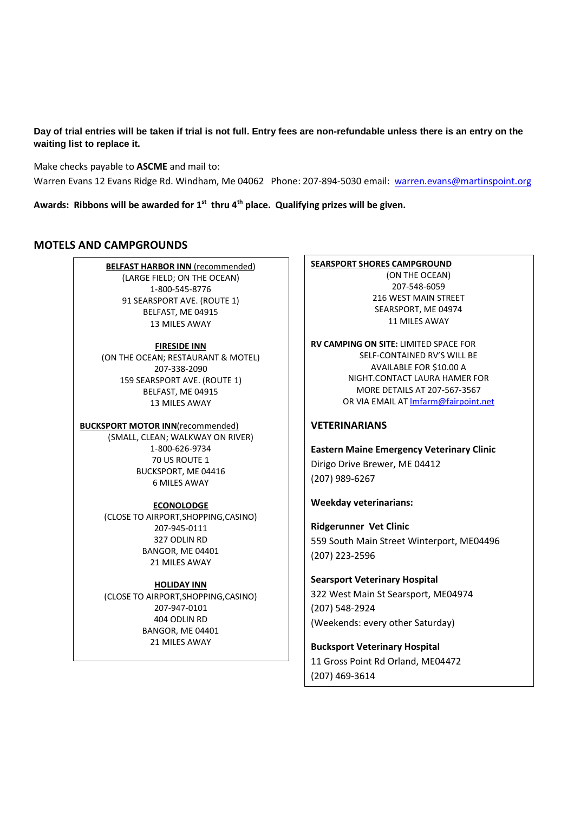**Day of trial entries will be taken if trial is not full. Entry fees are non-refundable unless there is an entry on the waiting list to replace it.**

Make checks payable to **ASCME** and mail to:

Warren Evans 12 Evans Ridge Rd. Windham, Me 04062 Phone: 207-894-5030 email: warren.evans@martinspoint.org

**Awards: Ribbons will be awarded for 1st thru 4th place. Qualifying prizes will be given.** 

### **MOTELS AND CAMPGROUNDS**

**BELFAST HARBOR INN** (recommended) (LARGE FIELD; ON THE OCEAN) 1-800-545-8776 91 SEARSPORT AVE. (ROUTE 1) BELFAST, ME 04915 13 MILES AWAY

#### **FIRESIDE INN**

(ON THE OCEAN; RESTAURANT & MOTEL) 207-338-2090 159 SEARSPORT AVE. (ROUTE 1) BELFAST, ME 04915 13 MILES AWAY

#### **BUCKSPORT MOTOR INN**(recommended)

(SMALL, CLEAN; WALKWAY ON RIVER) 1-800-626-9734 70 US ROUTE 1 BUCKSPORT, ME 04416 6 MILES AWAY

#### **ECONOLODGE**

(CLOSE TO AIRPORT,SHOPPING,CASINO) 207-945-0111 327 ODLIN RD BANGOR, ME 04401 21 MILES AWAY

#### **HOLIDAY INN**

(CLOSE TO AIRPORT,SHOPPING,CASINO) 207-947-0101 404 ODLIN RD BANGOR, ME 04401 21 MILES AWAY

#### **SEARSPORT SHORES CAMPGROUND** (ON THE OCEAN) 207-548-6059 216 WEST MAIN STREET SEARSPORT, ME 04974 11 MILES AWAY

**RV CAMPING ON SITE:** LIMITED SPACE FOR SELF-CONTAINED RV'S WILL BE AVAILABLE FOR \$10.00 A NIGHT.CONTACT LAURA HAMER FOR MORE DETAILS AT 207-567-3567 OR VIA EMAIL AT lmfarm@fairpoint.net

### **VETERINARIANS**

**Eastern Maine Emergency Veterinary Clinic**  Dirigo Drive Brewer, ME 04412 (207) 989-6267

#### **Weekday veterinarians:**

**Ridgerunner Vet Clinic**  559 South Main Street Winterport, ME04496 (207) 223-2596

# **Searsport Veterinary Hospital**  322 West Main St Searsport, ME04974 (207) 548-2924 (Weekends: every other Saturday)

**Bucksport Veterinary Hospital**  11 Gross Point Rd Orland, ME04472 (207) 469-3614